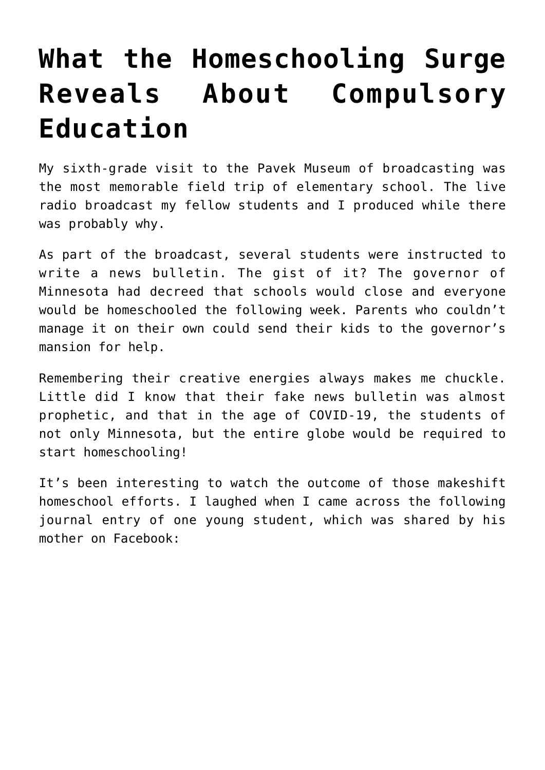## **[What the Homeschooling Surge](https://intellectualtakeout.org/2020/03/what-the-homeschooling-surge-reveals-about-compulsory-education/) [Reveals About Compulsory](https://intellectualtakeout.org/2020/03/what-the-homeschooling-surge-reveals-about-compulsory-education/) [Education](https://intellectualtakeout.org/2020/03/what-the-homeschooling-surge-reveals-about-compulsory-education/)**

My sixth-grade visit to the Pavek Museum of broadcasting was the most memorable field trip of elementary school. The live radio broadcast my fellow students and I produced while there was probably why.

As part of the broadcast, several students were instructed to write a news bulletin. The gist of it? The governor of Minnesota had decreed that schools would close and everyone would be homeschooled the following week. Parents who couldn't manage it on their own could send their kids to the governor's mansion for help.

Remembering their creative energies always makes me chuckle. Little did I know that their fake news bulletin was almost prophetic, and that in the age of COVID-19, the students of not only Minnesota, but the entire globe would be required to start homeschooling!

It's been interesting to watch the outcome of those makeshift homeschool efforts. I laughed when I came across the following journal entry of one young student, which was shared by his mother on Facebook: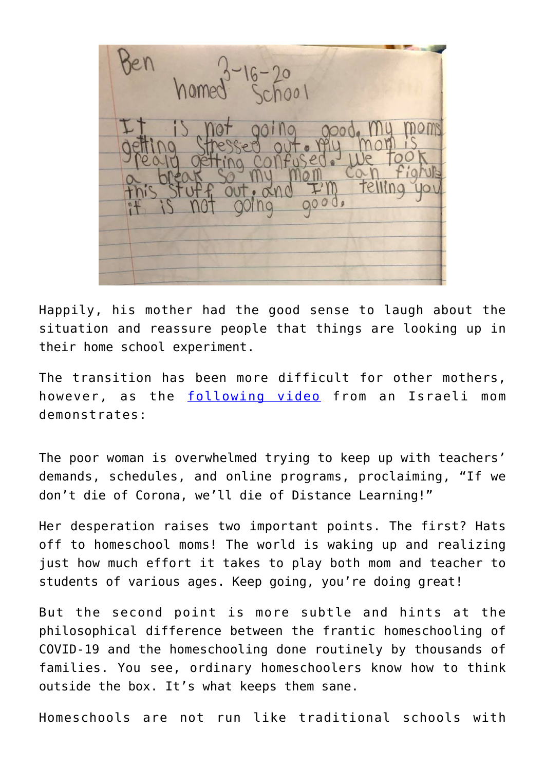$16 - 20$ <br>School

Happily, his mother had the good sense to laugh about the situation and reassure people that things are looking up in their home school experiment.

The transition has been more difficult for other mothers, however, as the [following video](https://www.youtube.com/watch?v=H7_wvQHMGOI) from an Israeli mom demonstrates:

The poor woman is overwhelmed trying to keep up with teachers' demands, schedules, and online programs, proclaiming, "If we don't die of Corona, we'll die of Distance Learning!"

Her desperation raises two important points. The first? Hats off to homeschool moms! The world is waking up and realizing just how much effort it takes to play both mom and teacher to students of various ages. Keep going, you're doing great!

But the second point is more subtle and hints at the philosophical difference between the frantic homeschooling of COVID-19 and the homeschooling done routinely by thousands of families. You see, ordinary homeschoolers know how to think outside the box. It's what keeps them sane.

Homeschools are not run like traditional schools with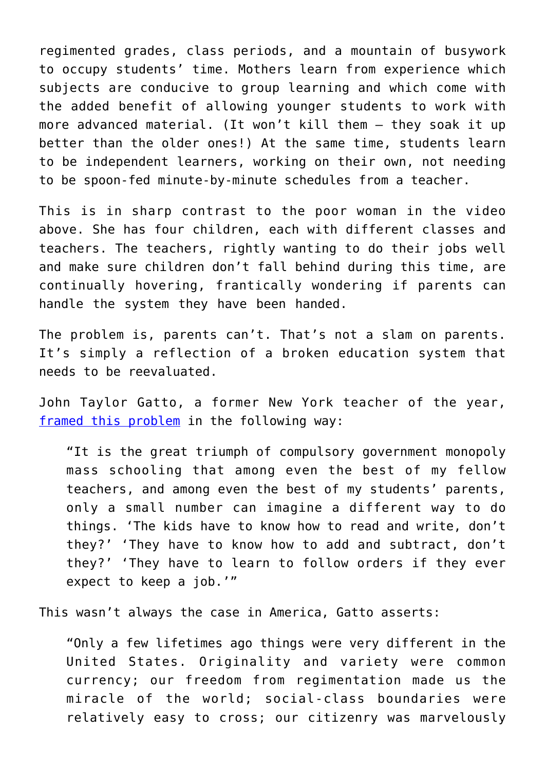regimented grades, class periods, and a mountain of busywork to occupy students' time. Mothers learn from experience which subjects are conducive to group learning and which come with the added benefit of allowing younger students to work with more advanced material. (It won't kill them – they soak it up better than the older ones!) At the same time, students learn to be independent learners, working on their own, not needing to be spoon-fed minute-by-minute schedules from a teacher.

This is in sharp contrast to the poor woman in the video above. She has four children, each with different classes and teachers. The teachers, rightly wanting to do their jobs well and make sure children don't fall behind during this time, are continually hovering, frantically wondering if parents can handle the system they have been handed.

The problem is, parents can't. That's not a slam on parents. It's simply a reflection of a broken education system that needs to be reevaluated.

John Taylor Gatto, a former New York teacher of the year, [framed this problem](https://www.amazon.com/gp/product/0865718547/ref=as_li_qf_asin_il_tl?ie=UTF8&tag=intelltakeo0d-20&creative=9325&linkCode=as2&creativeASIN=0865718547&linkId=9130794dfd5087424589cccb16d4fa98) in the following way:

"It is the great triumph of compulsory government monopoly mass schooling that among even the best of my fellow teachers, and among even the best of my students' parents, only a small number can imagine a different way to do things. 'The kids have to know how to read and write, don't they?' 'They have to know how to add and subtract, don't they?' 'They have to learn to follow orders if they ever expect to keep a job.'"

This wasn't always the case in America, Gatto asserts:

"Only a few lifetimes ago things were very different in the United States. Originality and variety were common currency; our freedom from regimentation made us the miracle of the world; social-class boundaries were relatively easy to cross; our citizenry was marvelously